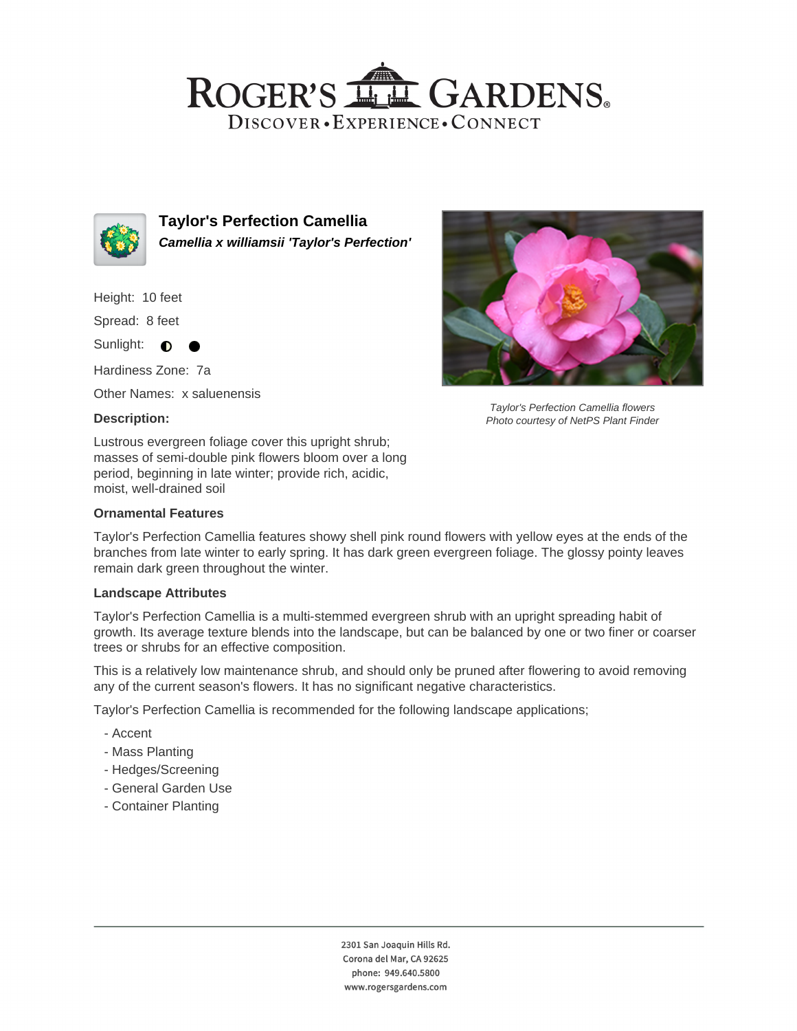## ROGER'S LL GARDENS. DISCOVER · EXPERIENCE · CONNECT



**Taylor's Perfection Camellia Camellia x williamsii 'Taylor's Perfection'**

Height: 10 feet

Spread: 8 feet

Sunlight:  $\bullet$ 

Hardiness Zone: 7a

Other Names: x saluenensis

#### **Description:**

Lustrous evergreen foliage cover this upright shrub; masses of semi-double pink flowers bloom over a long period, beginning in late winter; provide rich, acidic, moist, well-drained soil

#### **Ornamental Features**

Taylor's Perfection Camellia features showy shell pink round flowers with yellow eyes at the ends of the branches from late winter to early spring. It has dark green evergreen foliage. The glossy pointy leaves remain dark green throughout the winter.

#### **Landscape Attributes**

Taylor's Perfection Camellia is a multi-stemmed evergreen shrub with an upright spreading habit of growth. Its average texture blends into the landscape, but can be balanced by one or two finer or coarser trees or shrubs for an effective composition.

This is a relatively low maintenance shrub, and should only be pruned after flowering to avoid removing any of the current season's flowers. It has no significant negative characteristics.

Taylor's Perfection Camellia is recommended for the following landscape applications;

- Accent
- Mass Planting
- Hedges/Screening
- General Garden Use
- Container Planting



Taylor's Perfection Camellia flowers Photo courtesy of NetPS Plant Finder